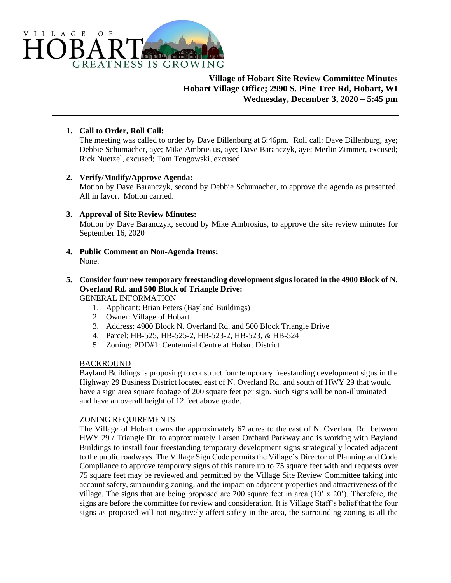

# **Village of Hobart Site Review Committee Minutes Hobart Village Office; 2990 S. Pine Tree Rd, Hobart, WI Wednesday, December 3, 2020 – 5:45 pm**

## **1. Call to Order, Roll Call:**

The meeting was called to order by Dave Dillenburg at 5:46pm. Roll call: Dave Dillenburg, aye; Debbie Schumacher, aye; Mike Ambrosius, aye; Dave Baranczyk, aye; Merlin Zimmer, excused; Rick Nuetzel, excused; Tom Tengowski, excused.

### **2. Verify/Modify/Approve Agenda:**

Motion by Dave Baranczyk, second by Debbie Schumacher, to approve the agenda as presented. All in favor. Motion carried.

## **3. Approval of Site Review Minutes:**

Motion by Dave Baranczyk, second by Mike Ambrosius, to approve the site review minutes for September 16, 2020

**4. Public Comment on Non-Agenda Items:** None.

#### **5. Consider four new temporary freestanding development signs located in the 4900 Block of N. Overland Rd. and 500 Block of Triangle Drive:** GENERAL INFORMATION

- 1. Applicant: Brian Peters (Bayland Buildings)
- 2. Owner: Village of Hobart
- 3. Address: 4900 Block N. Overland Rd. and 500 Block Triangle Drive
- 4. Parcel: HB-525, HB-525-2, HB-523-2, HB-523, & HB-524
- 5. Zoning: PDD#1: Centennial Centre at Hobart District

### BACKROUND

Bayland Buildings is proposing to construct four temporary freestanding development signs in the Highway 29 Business District located east of N. Overland Rd. and south of HWY 29 that would have a sign area square footage of 200 square feet per sign. Such signs will be non-illuminated and have an overall height of 12 feet above grade.

### ZONING REQUIREMENTS

The Village of Hobart owns the approximately 67 acres to the east of N. Overland Rd. between HWY 29 / Triangle Dr. to approximately Larsen Orchard Parkway and is working with Bayland Buildings to install four freestanding temporary development signs strategically located adjacent to the public roadways. The Village Sign Code permits the Village's Director of Planning and Code Compliance to approve temporary signs of this nature up to 75 square feet with and requests over 75 square feet may be reviewed and permitted by the Village Site Review Committee taking into account safety, surrounding zoning, and the impact on adjacent properties and attractiveness of the village. The signs that are being proposed are 200 square feet in area (10' x 20'). Therefore, the signs are before the committee for review and consideration. It is Village Staff's belief that the four signs as proposed will not negatively affect safety in the area, the surrounding zoning is all the